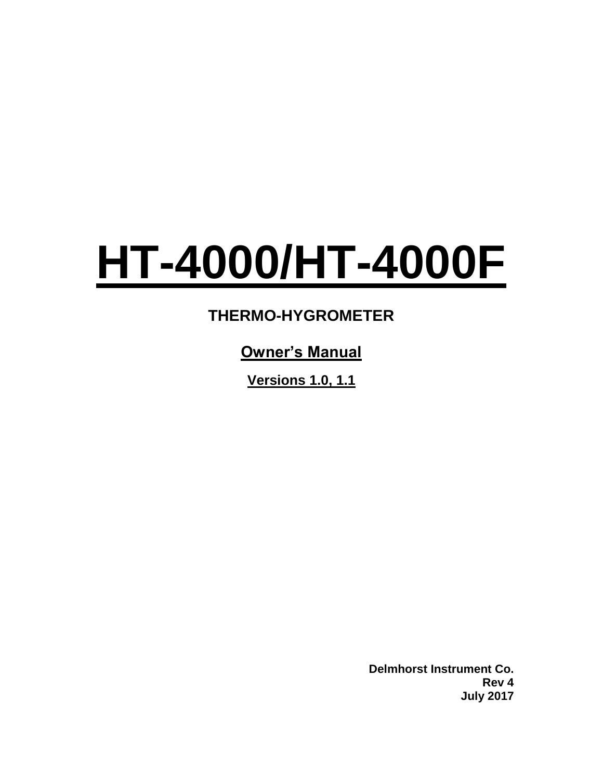# **HT-4000/HT-4000F**

# **THERMO-HYGROMETER**

# **Owner's Manual**

**Versions 1.0, 1.1**

**Delmhorst Instrument Co. Rev 4 July 2017**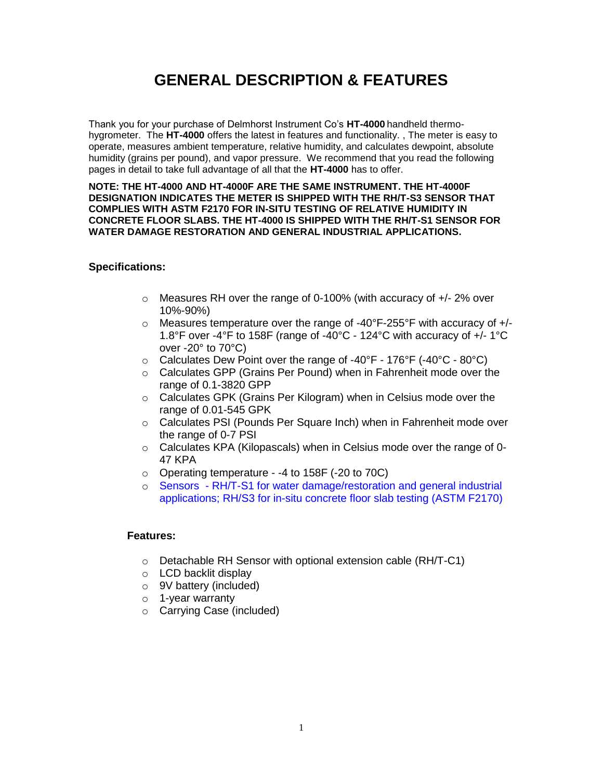# **GENERAL DESCRIPTION & FEATURES**

Thank you for your purchase of Delmhorst Instrument Co's **HT-4000** handheld thermohygrometer. The **HT-4000** offers the latest in features and functionality. , The meter is easy to operate, measures ambient temperature, relative humidity, and calculates dewpoint, absolute humidity (grains per pound), and vapor pressure. We recommend that you read the following pages in detail to take full advantage of all that the **HT-4000** has to offer.

#### **NOTE: THE HT-4000 AND HT-4000F ARE THE SAME INSTRUMENT. THE HT-4000F DESIGNATION INDICATES THE METER IS SHIPPED WITH THE RH/T-S3 SENSOR THAT COMPLIES WITH ASTM F2170 FOR IN-SITU TESTING OF RELATIVE HUMIDITY IN CONCRETE FLOOR SLABS. THE HT-4000 IS SHIPPED WITH THE RH/T-S1 SENSOR FOR WATER DAMAGE RESTORATION AND GENERAL INDUSTRIAL APPLICATIONS.**

#### **Specifications:**

- $\circ$  Measures RH over the range of 0-100% (with accuracy of  $+/- 2\%$  over 10%-90%)
- $\circ$  Measures temperature over the range of -40°F-255°F with accuracy of  $+/-$ 1.8°F over -4°F to 158F (range of -40°C - 124°C with accuracy of +/- 1°C over -20° to 70°C)
- $\circ$  Calculates Dew Point over the range of -40°F 176°F (-40°C 80°C)
- o Calculates GPP (Grains Per Pound) when in Fahrenheit mode over the range of 0.1-3820 GPP
- o Calculates GPK (Grains Per Kilogram) when in Celsius mode over the range of 0.01-545 GPK
- o Calculates PSI (Pounds Per Square Inch) when in Fahrenheit mode over the range of 0-7 PSI
- $\circ$  Calculates KPA (Kilopascals) when in Celsius mode over the range of 0-47 KPA
- o Operating temperature -4 to 158F (-20 to 70C)
- o Sensors RH/T-S1 for water damage/restoration and general industrial applications; RH/S3 for in-situ concrete floor slab testing (ASTM F2170)

#### **Features:**

- o Detachable RH Sensor with optional extension cable (RH/T-C1)
- o LCD backlit display
- o 9V battery (included)
- o 1-year warranty
- o Carrying Case (included)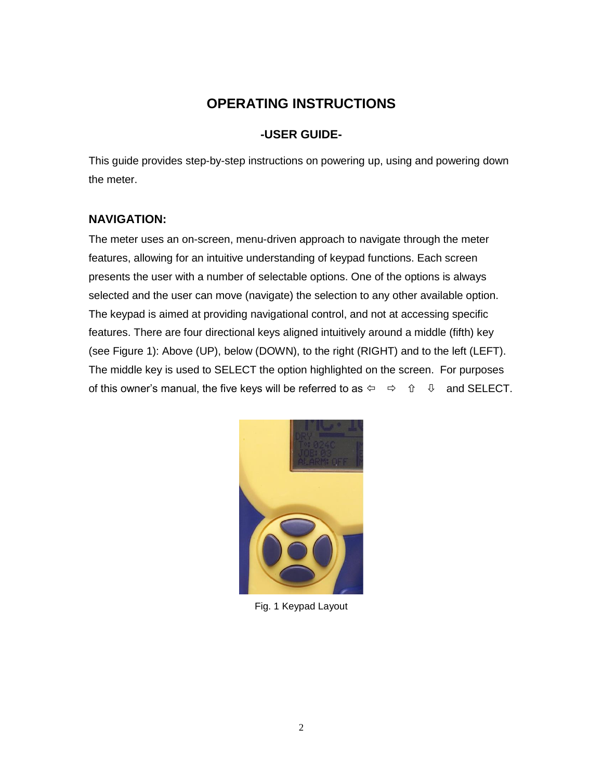## **OPERATING INSTRUCTIONS**

#### **-USER GUIDE-**

This guide provides step-by-step instructions on powering up, using and powering down the meter.

#### **NAVIGATION:**

The meter uses an on-screen, menu-driven approach to navigate through the meter features, allowing for an intuitive understanding of keypad functions. Each screen presents the user with a number of selectable options. One of the options is always selected and the user can move (navigate) the selection to any other available option. The keypad is aimed at providing navigational control, and not at accessing specific features. There are four directional keys aligned intuitively around a middle (fifth) key (see Figure 1): Above (UP), below (DOWN), to the right (RIGHT) and to the left (LEFT). The middle key is used to SELECT the option highlighted on the screen. For purposes of this owner's manual, the five keys will be referred to as  $\Leftrightarrow \Rightarrow \hat{p}$  and SELECT.



Fig. 1 Keypad Layout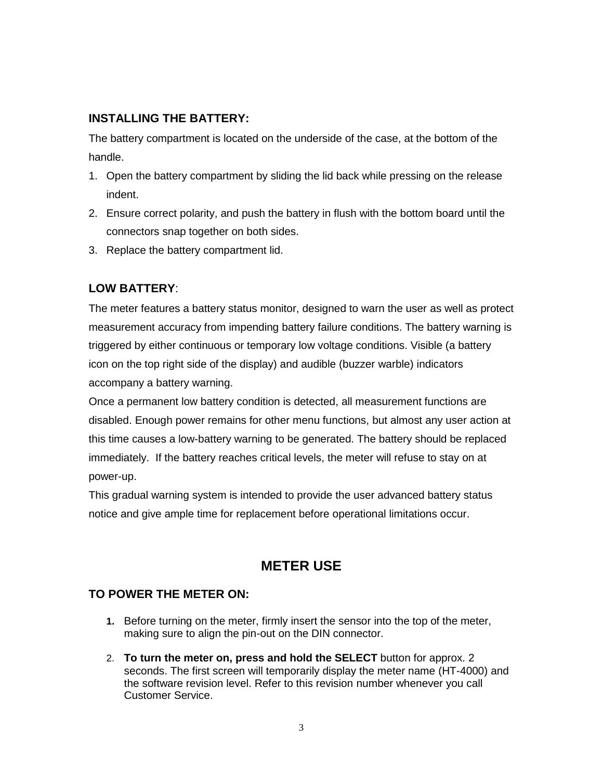#### **INSTALLING THE BATTERY:**

The battery compartment is located on the underside of the case, at the bottom of the handle.

- 1. Open the battery compartment by sliding the lid back while pressing on the release indent.
- 2. Ensure correct polarity, and push the battery in flush with the bottom board until the connectors snap together on both sides.
- 3. Replace the battery compartment lid.

### **LOW BATTERY**:

The meter features a battery status monitor, designed to warn the user as well as protect measurement accuracy from impending battery failure conditions. The battery warning is triggered by either continuous or temporary low voltage conditions. Visible (a battery icon on the top right side of the display) and audible (buzzer warble) indicators accompany a battery warning.

Once a permanent low battery condition is detected, all measurement functions are disabled. Enough power remains for other menu functions, but almost any user action at this time causes a low-battery warning to be generated. The battery should be replaced immediately. If the battery reaches critical levels, the meter will refuse to stay on at power-up.

This gradual warning system is intended to provide the user advanced battery status notice and give ample time for replacement before operational limitations occur.

## **METER USE**

#### **TO POWER THE METER ON:**

- **1.** Before turning on the meter, firmly insert the sensor into the top of the meter, making sure to align the pin-out on the DIN connector.
- 2. **To turn the meter on, press and hold the SELECT** button for approx. 2 seconds. The first screen will temporarily display the meter name (HT-4000) and the software revision level. Refer to this revision number whenever you call Customer Service.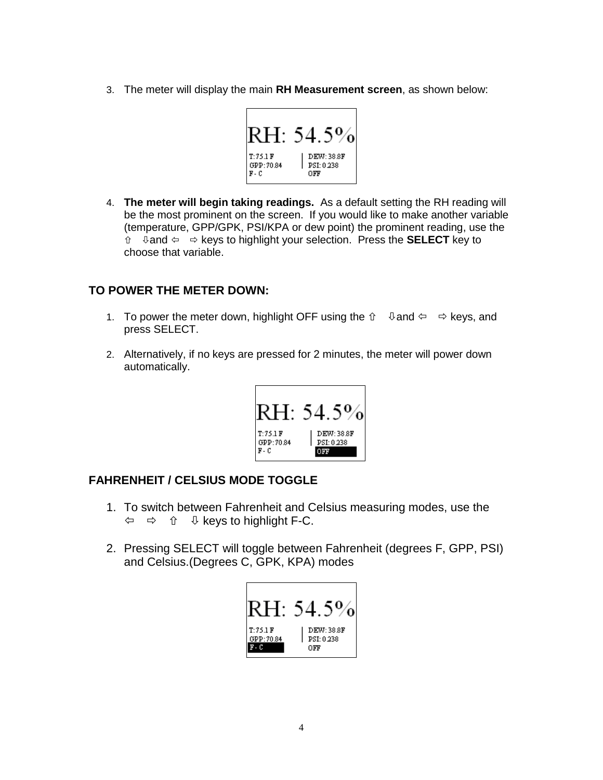3. The meter will display the main **RH Measurement screen**, as shown below:



4. **The meter will begin taking readings.** As a default setting the RH reading will be the most prominent on the screen. If you would like to make another variable (temperature, GPP/GPK, PSI/KPA or dew point) the prominent reading, use the **t**  $\theta$  and  $\Leftarrow$   $\Rightarrow$  keys to highlight your selection. Press the **SELECT** key to choose that variable.

#### **TO POWER THE METER DOWN:**

- 1. To power the meter down, highlight OFF using the  $\hat{u}$   $\theta$  and  $\hat{v}$   $\Rightarrow$  keys, and press SELECT.
- 2. Alternatively, if no keys are pressed for 2 minutes, the meter will power down automatically.



#### **FAHRENHEIT / CELSIUS MODE TOGGLE**

- 1. To switch between Fahrenheit and Celsius measuring modes, use the  $\Leftrightarrow$   $\Leftrightarrow$   $\hat{U}$   $\psi$  keys to highlight F-C.
- 2. Pressing SELECT will toggle between Fahrenheit (degrees F, GPP, PSI) and Celsius.(Degrees C, GPK, KPA) modes

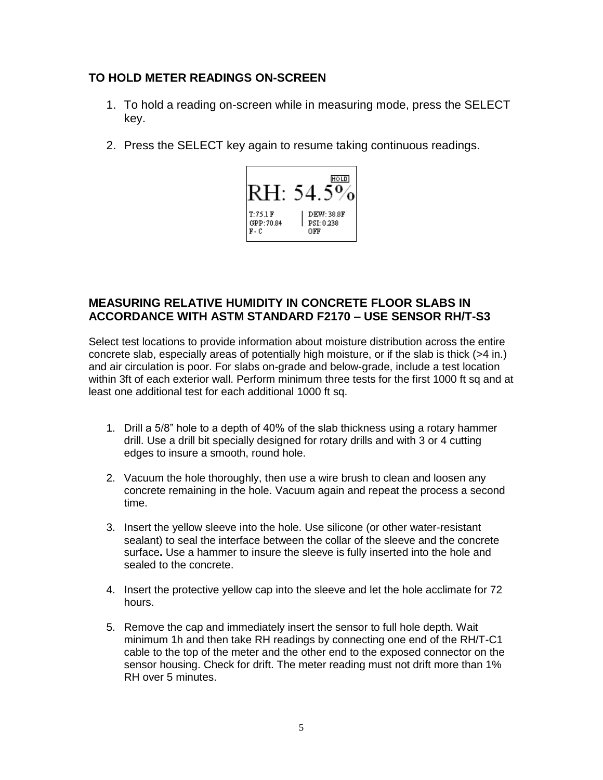#### **TO HOLD METER READINGS ON-SCREEN**

- 1. To hold a reading on-screen while in measuring mode, press the SELECT key.
- 2. Press the SELECT key again to resume taking continuous readings.



#### **MEASURING RELATIVE HUMIDITY IN CONCRETE FLOOR SLABS IN ACCORDANCE WITH ASTM STANDARD F2170 – USE SENSOR RH/T-S3**

Select test locations to provide information about moisture distribution across the entire concrete slab, especially areas of potentially high moisture, or if the slab is thick (>4 in.) and air circulation is poor. For slabs on-grade and below-grade, include a test location within 3ft of each exterior wall. Perform minimum three tests for the first 1000 ft sq and at least one additional test for each additional 1000 ft sq.

- 1. Drill a 5/8" hole to a depth of 40% of the slab thickness using a rotary hammer drill. Use a drill bit specially designed for rotary drills and with 3 or 4 cutting edges to insure a smooth, round hole.
- 2. Vacuum the hole thoroughly, then use a wire brush to clean and loosen any concrete remaining in the hole. Vacuum again and repeat the process a second time.
- 3. Insert the yellow sleeve into the hole. Use silicone (or other water-resistant sealant) to seal the interface between the collar of the sleeve and the concrete surface**.** Use a hammer to insure the sleeve is fully inserted into the hole and sealed to the concrete.
- 4. Insert the protective yellow cap into the sleeve and let the hole acclimate for 72 hours.
- 5. Remove the cap and immediately insert the sensor to full hole depth. Wait minimum 1h and then take RH readings by connecting one end of the RH/T-C1 cable to the top of the meter and the other end to the exposed connector on the sensor housing. Check for drift. The meter reading must not drift more than 1% RH over 5 minutes.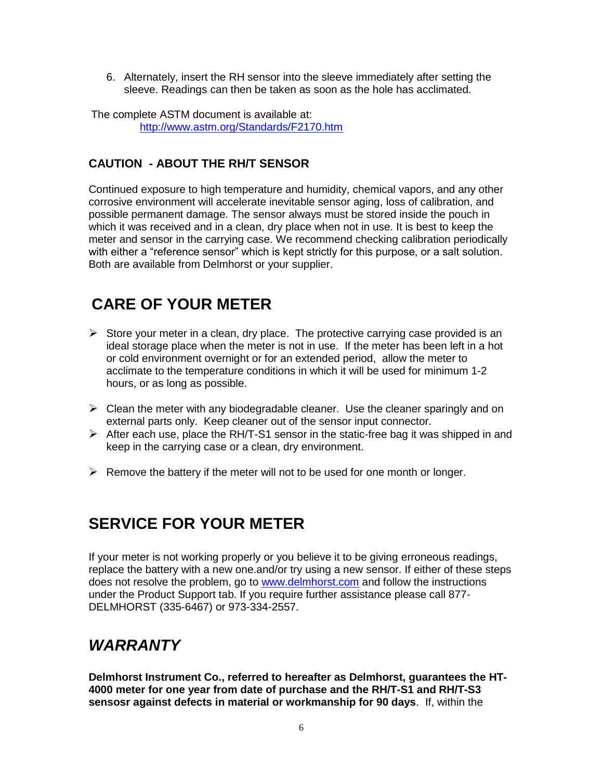6. Alternately, insert the RH sensor into the sleeve immediately after setting the sleeve. Readings can then be taken as soon as the hole has acclimated.

The complete ASTM document is available at: <http://www.astm.org/Standards/F2170.htm>

#### **CAUTION - ABOUT THE RH/T SENSOR**

Continued exposure to high temperature and humidity, chemical vapors, and any other corrosive environment will accelerate inevitable sensor aging, loss of calibration, and possible permanent damage. The sensor always must be stored inside the pouch in which it was received and in a clean, dry place when not in use. It is best to keep the meter and sensor in the carrying case. We recommend checking calibration periodically with either a "reference sensor" which is kept strictly for this purpose, or a salt solution. Both are available from Delmhorst or your supplier.

## **CARE OF YOUR METER**

- $\triangleright$  Store your meter in a clean, dry place. The protective carrying case provided is an ideal storage place when the meter is not in use. If the meter has been left in a hot or cold environment overnight or for an extended period, allow the meter to acclimate to the temperature conditions in which it will be used for minimum 1-2 hours, or as long as possible.
- $\triangleright$  Clean the meter with any biodegradable cleaner. Use the cleaner sparingly and on external parts only. Keep cleaner out of the sensor input connector.
- $\triangleright$  After each use, place the RH/T-S1 sensor in the static-free bag it was shipped in and keep in the carrying case or a clean, dry environment.
- $\triangleright$  Remove the battery if the meter will not to be used for one month or longer.

# **SERVICE FOR YOUR METER**

If your meter is not working properly or you believe it to be giving erroneous readings, replace the battery with a new one.and/or try using a new sensor. If either of these steps does not resolve the problem, go to [www.delmhorst.com](http://www.delmhorst.com/) and follow the instructions under the Product Support tab. If you require further assistance please call 877- DELMHORST (335-6467) or 973-334-2557.

# *WARRANTY*

**Delmhorst Instrument Co., referred to hereafter as Delmhorst, guarantees the HT-4000 meter for one year from date of purchase and the RH/T-S1 and RH/T-S3 sensosr against defects in material or workmanship for 90 days**. If, within the